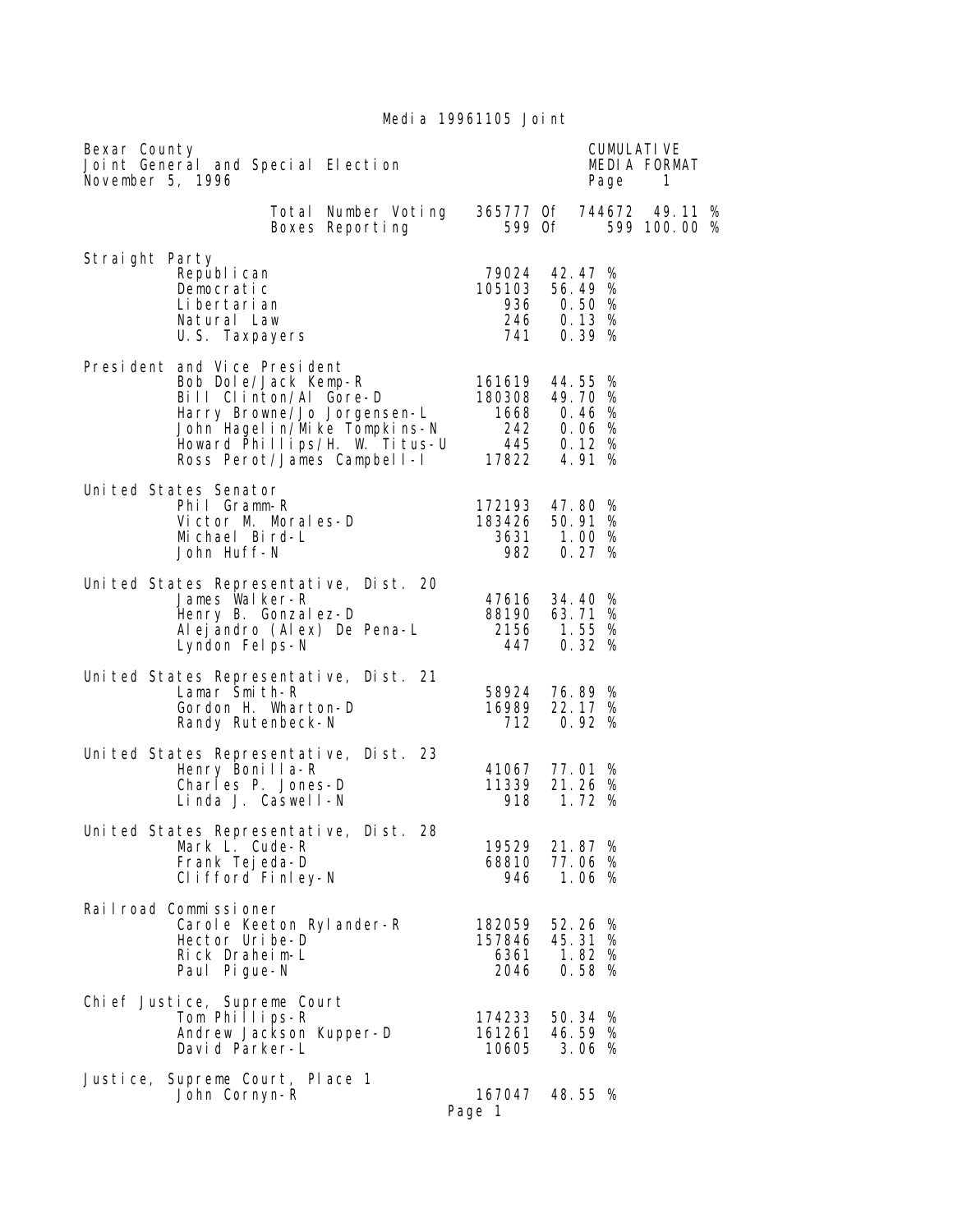Media 19961105 Joint

| Bexar County<br>Joint General and Special Election<br>November 5, 1996                                                                                                                                        |                                                |                                                        | Page | <b>CUMULATIVE</b><br>MEDIA FORMAT<br>$\mathbf{1}$ |
|---------------------------------------------------------------------------------------------------------------------------------------------------------------------------------------------------------------|------------------------------------------------|--------------------------------------------------------|------|---------------------------------------------------|
| Total Number Voting<br>Boxes Reporting                                                                                                                                                                        |                                                | 599 Of                                                 |      | 365777 Of 744672 49.11 %<br>599 100.00 %          |
| Straight Party<br>Republ i can<br>Democratic<br>Li bertari an<br>Natural Law<br>U.S. Taxpayers                                                                                                                | 79024 42.47 %<br>105103                        | 56.49 %<br>936 0.50 %<br>246 0.13 %<br>741 0.39 %      |      |                                                   |
| President and Vice President<br>Bob Dole/Jack Kemp-R<br>Bill Clinton/Al Gore-D<br>Harry Browne/Jo Jorgensen-L<br>John Hagelin/Mike Tompkins-N<br>Howard Phillips/H. W. Titus-U<br>Ross Perot/James Campbell-I | 161619 44.55 %<br>180308 49.70 %<br>445 0.12 % | 1668   0.46   %<br>242   0.06   %<br>17822 4.91 %      |      |                                                   |
| Uni ted States Senator<br>Phil Gramm-R<br>Victor M. Morales-D<br>Michael Bird-L<br>John Huff-N                                                                                                                | 172193 47.80 %<br>183426 50.91 %               | 3631 1.00 %<br>982 0.27 %                              |      |                                                   |
| United States Representative, Dist. 20<br>James Walker-R<br>Henry B. Gonzal ez-D<br>Al ej andro (Al ex) De Pena-L<br>Lyndon Felps-N                                                                           | 447                                            | 47616 34.40 %<br>88190 63.71 %<br>2156 1.55 %<br>0.32% |      |                                                   |
| United States Representative, Dist. 21<br>Lamar Smith-R<br>Gordon H. Wharton-D<br>Randy Rutenbeck-N                                                                                                           | 712                                            | 58924 76.89 %<br>16989 22.17 %<br>0.92%                |      |                                                   |
| United States Representative, Dist. 23<br>Henry Bonilla-R<br>Charles P. Jones-D<br>Linda J. Caswell-N                                                                                                         | 11339<br>918                                   | 41067 77.01 %<br>21.26 %<br>1.72%                      |      |                                                   |
| United States Representative, Dist. 28<br>Mark L. Cude-R<br>Frank Tej eda-D<br>Clifford Finley-N                                                                                                              | 19529<br>68810<br>946                          | 21.87 %<br>77.06 %<br>1.06%                            |      |                                                   |
| Railroad Commissioner<br>Carole Keeton Rylander-R<br>Hector Uribe-D<br>Rick Draheim-L<br>Paul Pi gue-N                                                                                                        | 182059<br>157846<br>6361<br>2046               | 52.26 %<br>45.31 %<br>1.82%<br>0.58%                   |      |                                                   |
| Chi ef Justi ce, Supreme Court<br>Tom Phillips-R<br>Andrew Jackson Kupper-D<br>David Parker-L                                                                                                                 | 174233<br>161261<br>10605                      | 50.34 %<br>46.59 %<br>3.06%                            |      |                                                   |
| Justice,<br>Supreme Court, Place 1<br>John Cornyn-R                                                                                                                                                           | 167047<br>Page 1                               | 48.55 %                                                |      |                                                   |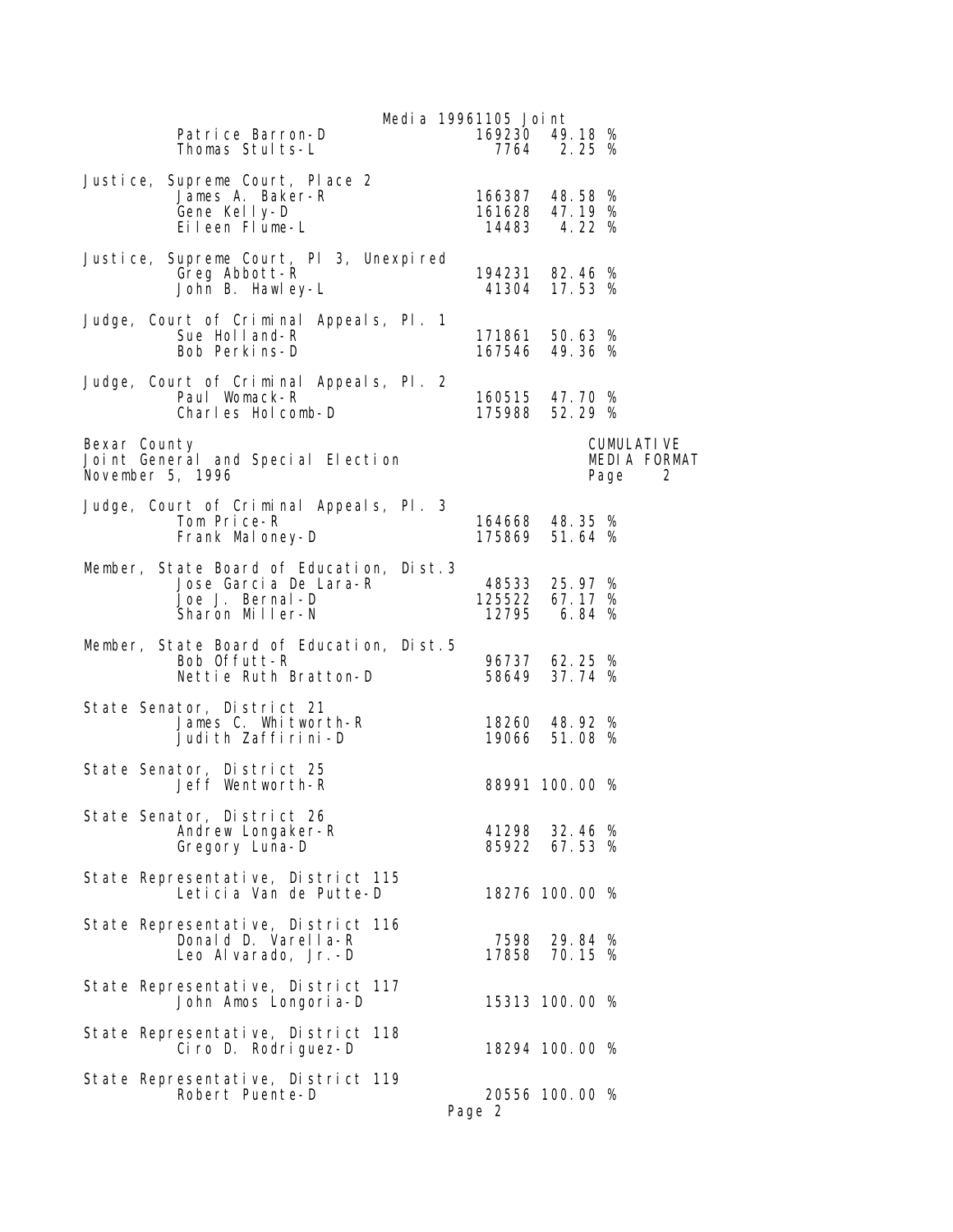| Media 19961105 Joint                                                                                                             |                                  |                                |                                              |
|----------------------------------------------------------------------------------------------------------------------------------|----------------------------------|--------------------------------|----------------------------------------------|
| Patrice Barron-D<br>Thomas Stults-L                                                                                              | 169230 49.18 %                   | 7764 2.25 %                    |                                              |
| Justice, Supreme Court, Place 2<br>James A. Baker-R<br>Gene Kelly-D<br>Eileen Flume-L                                            | 166387 48.58 %<br>161628 47.19 % | 14483 4.22 %                   |                                              |
| Justice, Supreme Court, PI 3, Unexpired<br>Greg Abbott-R<br>John B. Hawley-L                                                     | 194231 82.46 %                   | 41304 17.53 %                  |                                              |
| Judge, Court of Criminal Appeals, Pl. 1<br>Sue Holland-R<br>Bob Perkins-D                                                        | 171861 50.63 %<br>167546 49.36 % |                                |                                              |
| Judge, Court of Criminal Appeals, Pl. 2<br>Paul Womack-R<br>Charles Holcomb-D                                                    | 160515 47.70 %<br>175988 52.29 % |                                |                                              |
| Bexar County<br>Joint General and Special Election<br>November 5, 1996                                                           |                                  |                                | <b>CUMULATI VE</b><br>MEDIA FORMAT<br>Page 2 |
| Judge, Court of Criminal Appeals, Pl. 3<br>Tom Price-R<br>Frank Maloney-D                                                        | 164668 48.35 %<br>175869 51.64 % |                                |                                              |
| Member, State Board of Education, Dist.3<br>Jose Garcia De Lara-R<br>Jose Garcia De Lara-R<br>Joe J. Bernal-D<br>Sharon Miller-N | 48533 25.97 %<br>125522 67.17 %  | 12795 6.84 %                   |                                              |
| Member, State Board of Education, Dist.5<br>Bob Offutt-R<br>Nettie Ruth Bratton-D                                                |                                  | 96737 62.25 %<br>58649 37.74 % |                                              |
| State Senator, District 21<br>James C. Whitworth-R<br>Judith Zaffirini-D                                                         |                                  | 18260 48.92 %<br>19066 51.08 % |                                              |
| State Senator, District 25<br>Jeff Wentworth-R                                                                                   |                                  | 88991 100.00 %                 |                                              |
| State Senator, District 26<br>Andrew Longaker-R<br>Gregory Luna-D                                                                | 41298                            | 32.46 %<br>85922 67.53 %       |                                              |
| State Representative, District 115<br>Leticia Van de Putte-D                                                                     |                                  | 18276 100.00 %                 |                                              |
| State Representative, District 116<br>Donald D. Varella-R<br>Leo Al varado, Jr.-D                                                |                                  | 7598 29.84 %<br>17858 70.15 %  |                                              |
| State Representative, District 117<br>John Amos Longoria-D                                                                       |                                  | 15313 100.00 %                 |                                              |
| State Representative, District 118<br>Ciro D. Rodriguez-D                                                                        |                                  | 18294 100.00 %                 |                                              |
| State Representative, District 119<br>Robert Puente-D                                                                            | Page 2                           | 20556 100.00 %                 |                                              |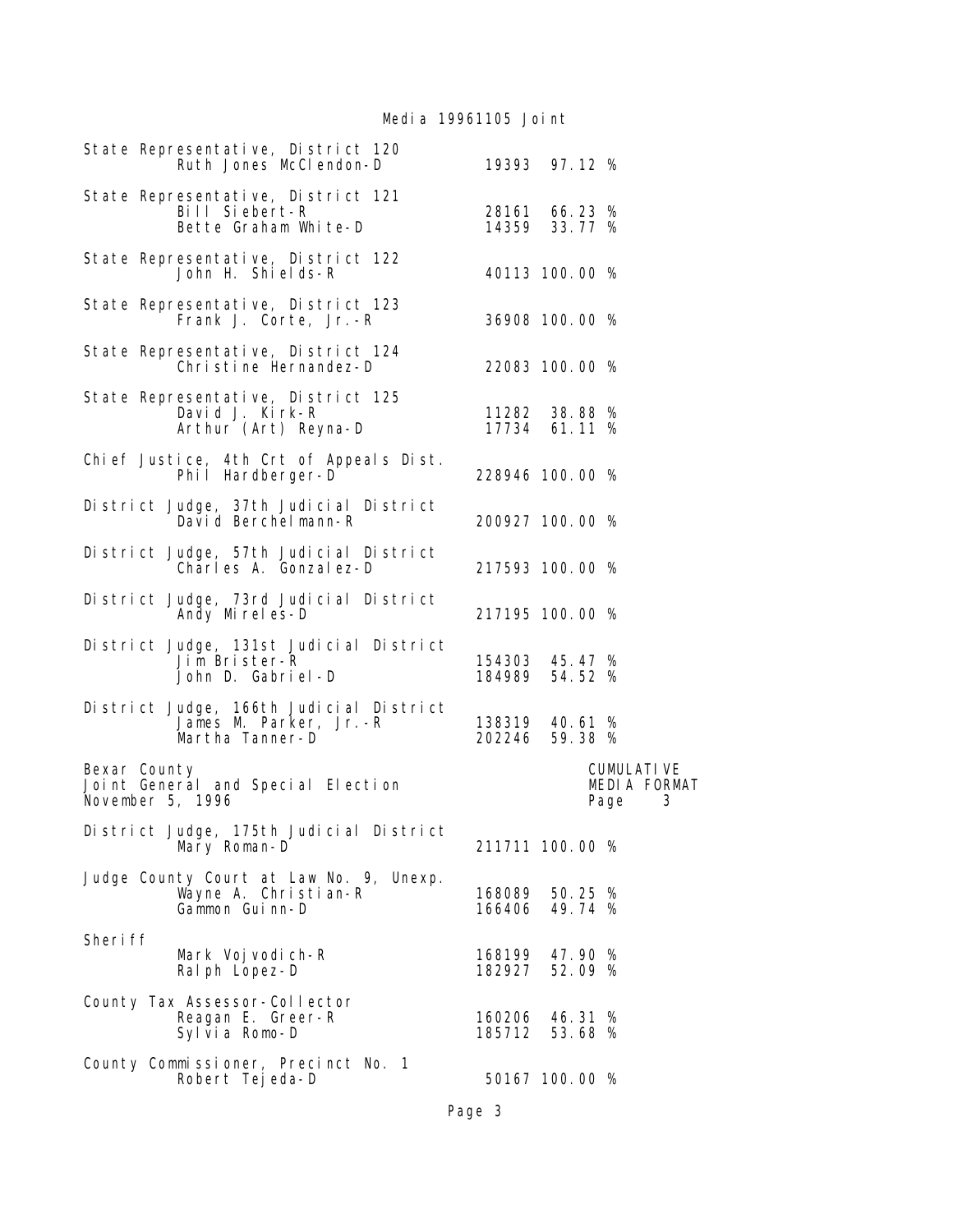Media 19961105 Joint

| State Representative, District 120<br>Ruth Jones McClendon-D                         |                                  | 19393 97.12 %                  |                                                |
|--------------------------------------------------------------------------------------|----------------------------------|--------------------------------|------------------------------------------------|
| State Representative, District 121<br>Bill Siebert-R<br>Bette Graham White-D         |                                  | 28161 66.23 %<br>14359 33.77 % |                                                |
| State Representative, District 122<br>John H. Shi el ds-R                            |                                  | 40113 100.00 %                 |                                                |
| State Representative, District 123<br>Frank J. Corte, Jr.-R                          |                                  | 36908 100.00 %                 |                                                |
| State Representative, District 124<br>Christine Hernandez-D                          |                                  | 22083 100.00 %                 |                                                |
| State Representative, District 125<br>David J. Kirk-R<br>Arthur (Art) Reyna-D        |                                  | 11282 38.88 %<br>17734 61.11 % |                                                |
| Chief Justice, 4th Crt of Appeals Dist.<br>Phil Hardberger-D                         | 228946 100.00 %                  |                                |                                                |
| District Judge, 37th Judicial District<br>David Berchelmann-R                        | 200927 100.00 %                  |                                |                                                |
| District Judge, 57th Judicial District<br>Charles A. Gonzalez-D                      | 217593 100.00 %                  |                                |                                                |
| District Judge, 73rd Judicial District<br>Andy Mireles-D                             | 217195 100.00 %                  |                                |                                                |
| District Judge, 131st Judicial District<br>Jim Brister-R<br>John D. Gabriel-D        | 154303 45.47 %<br>184989 54.52 % |                                |                                                |
| District Judge, 166th Judicial District<br>James M. Parker, Jr.-R<br>Martha Tanner-D | 138319 40.61 %<br>202246 59.38 % |                                |                                                |
| Bexar County<br>Joint General and Special Election<br>November 5, 1996               |                                  |                                | <b>CUMULATIVE</b><br>MEDIA FORMAT<br>3<br>Page |
| District Judge, 175th Judicial District<br>Mary Roman-D                              | 211711 100.00 %                  |                                |                                                |
| Judge County Court at Law No. 9, Unexp.<br>Wayne A. Christian-R<br>Gammon Guinn-D    | 168089<br>166406                 | 50.25 %<br>49.74 %             |                                                |
| Sheri ff<br>Mark Voj vodi ch-R<br>Ral ph Lopez-D                                     | 168199 47.90 %<br>182927 52.09 % |                                |                                                |
| County Tax Assessor-Collector<br>Reagan E. Greer-R<br>Sylvia Romo-D                  | 160206<br>185712 53.68 %         | 46.31 %                        |                                                |
| County Commissioner, Precinct No. 1<br>Robert Tejeda-D                               |                                  | 50167 100.00 %                 |                                                |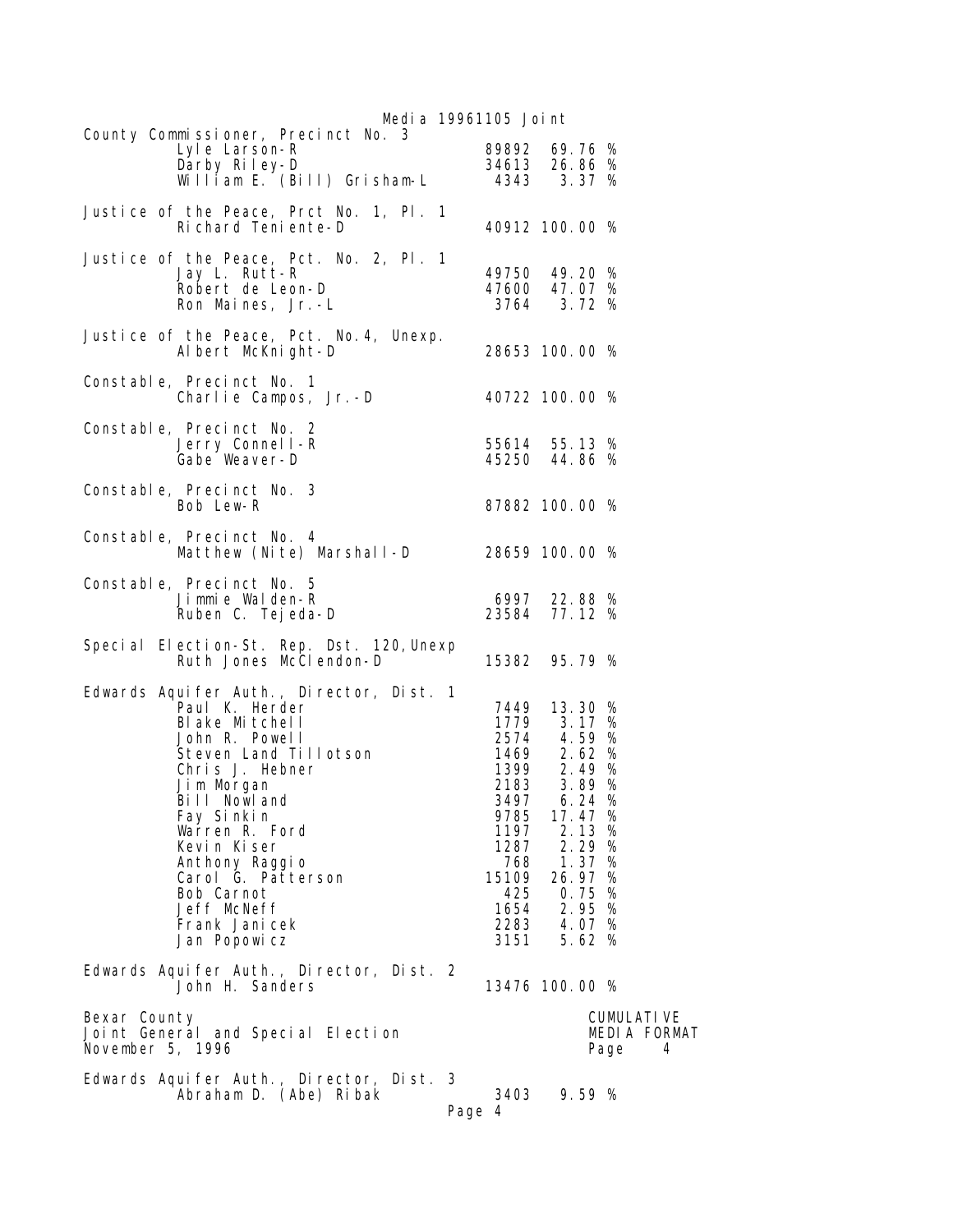| Media 19961105 Joint                                                                                                                                                                                                                                                                                                           |                                                                     |                                                                                                                                                                                                |                                                 |  |  |
|--------------------------------------------------------------------------------------------------------------------------------------------------------------------------------------------------------------------------------------------------------------------------------------------------------------------------------|---------------------------------------------------------------------|------------------------------------------------------------------------------------------------------------------------------------------------------------------------------------------------|-------------------------------------------------|--|--|
| County Commissioner, Precinct No. 3<br>Darby Riley-D<br>Darby Riley-D<br>William E. (Bill) Grisham-L 4343 3.37 %                                                                                                                                                                                                               | 89892 69.76 %                                                       |                                                                                                                                                                                                |                                                 |  |  |
| Justice of the Peace, Prct No. 1, Pl. 1<br>Richard Teniente-D                                                                                                                                                                                                                                                                  | 40912 100.00 %                                                      |                                                                                                                                                                                                |                                                 |  |  |
| Justice of the Peace, Pct. No. 2, Pl. 1<br>Jay L. Rutt-R<br>Robert de Leon-D<br>Ron Maines, Jr.-L                                                                                                                                                                                                                              | 49750 49.20 %<br>47600 47.07 %                                      | 3764 3.72 %                                                                                                                                                                                    |                                                 |  |  |
| Justice of the Peace, Pct. No. 4, Unexp.<br>Albert McKnight-D                                                                                                                                                                                                                                                                  | 28653 100.00 %                                                      |                                                                                                                                                                                                |                                                 |  |  |
| Constable, Precinct No. 1<br>Charlie Campos, Jr. -D 40722 100.00 %                                                                                                                                                                                                                                                             |                                                                     |                                                                                                                                                                                                |                                                 |  |  |
| Constable, Precinct No. 2<br>Jerry Connell-R<br>Gabe Weaver-D                                                                                                                                                                                                                                                                  | 55614 55.13 %<br>45250 44.86 %                                      |                                                                                                                                                                                                |                                                 |  |  |
| Constable, Precinct No. 3<br>Bob Lew-R                                                                                                                                                                                                                                                                                         | 87882 100.00 %                                                      |                                                                                                                                                                                                |                                                 |  |  |
| Constable, Precinct No. 4<br>Matthew (Nite) Marshall-D 28659 100.00 %                                                                                                                                                                                                                                                          |                                                                     |                                                                                                                                                                                                |                                                 |  |  |
| Constable, Precinct No. 5<br>Jimmie Walden-R<br>Ruben C. Tej eda-D                                                                                                                                                                                                                                                             | 6997 22.88 %<br>23584 77.12 %                                       |                                                                                                                                                                                                |                                                 |  |  |
| Special Election-St. Rep. Dst. 120, Unexp<br>Ruth Jones McClendon-D                                                                                                                                                                                                                                                            | 15382 95.79 %                                                       |                                                                                                                                                                                                |                                                 |  |  |
| Edwards Aquifer Auth., Director, Dist. 1<br>Paul K. Herder<br>Blake Mitchell<br>John R. Powell<br>Steven Land Tillotson<br>Chris J. Hebner<br>Jim Morgan<br>Bill Nowland<br>Fay Sinkin<br>Warren R. Ford<br>Kevin Kiser<br>Anthony Raggio<br>Carol G. Patterson<br>Bob Carnot<br>Jeff McNeff<br>Frank Jani cek<br>Jan Popowicz | 3497<br>9785<br>1197<br>1287<br>768<br>15109<br>425<br>1654<br>3151 | 7449 13.30 %<br>1779 3.17 %<br>$2574$ 4.59 %<br>1469 2.62 %<br>1399 2.49 %<br>2183 3.89 %<br>6.24%<br>17.47 %<br>2.13<br>2.29 %<br>1.37%<br>26.97 %<br>0.75%<br>2.95 %<br>2283 4.07 %<br>5.62% | %                                               |  |  |
| Edwards Aquifer Auth., Director, Dist. 2<br>John H. Sanders                                                                                                                                                                                                                                                                    | 13476 100.00 %                                                      |                                                                                                                                                                                                |                                                 |  |  |
| Bexar County<br>Joint General and Special Election<br>November 5, 1996                                                                                                                                                                                                                                                         |                                                                     |                                                                                                                                                                                                | <b>CUMULATI VE</b><br>MEDIA FORMAT<br>Page<br>4 |  |  |
| Edwards Aquifer Auth., Director, Dist. 3<br>Abraham D. (Abe) Ribak<br>Page 4                                                                                                                                                                                                                                                   | 3403                                                                | 9.59%                                                                                                                                                                                          |                                                 |  |  |